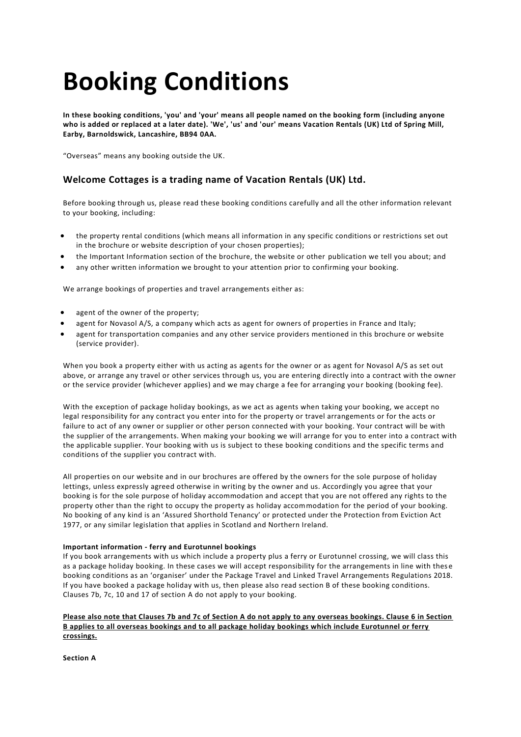# **Booking Conditions**

**In these booking conditions, 'you' and 'your' means all people named on the booking form (including anyone who is added or replaced at a later date). 'We', 'us' and 'our' means Vacation Rentals (UK) Ltd of Spring Mill, Earby, Barnoldswick, Lancashire, BB94 0AA.**

"Overseas" means any booking outside the UK.

# **Welcome Cottages is a trading name of Vacation Rentals (UK) Ltd.**

Before booking through us, please read these booking conditions carefully and all the other information relevant to your booking, including:

- the property rental conditions (which means all information in any specific conditions or restrictions set out in the brochure or website description of your chosen properties);
- the Important Information section of the brochure, the website or other publication we tell you about; and
- any other written information we brought to your attention prior to confirming your booking.

We arrange bookings of properties and travel arrangements either as:

- agent of the owner of the property;
- agent for Novasol A/S, a company which acts as agent for owners of properties in France and Italy;
- agent for transportation companies and any other service providers mentioned in this brochure or website (service provider).

When you book a property either with us acting as agents for the owner or as agent for Novasol A/S as set out above, or arrange any travel or other services through us, you are entering directly into a contract with the owner or the service provider (whichever applies) and we may charge a fee for arranging your booking (booking fee).

With the exception of package holiday bookings, as we act as agents when taking your booking, we accept no legal responsibility for any contract you enter into for the property or travel arrangements or for the acts or failure to act of any owner or supplier or other person connected with your booking. Your contract will be with the supplier of the arrangements. When making your booking we will arrange for you to enter into a contract with the applicable supplier. Your booking with us is subject to these booking conditions and the specific terms and conditions of the supplier you contract with.

All properties on our website and in our brochures are offered by the owners for the sole purpose of holiday lettings, unless expressly agreed otherwise in writing by the owner and us. Accordingly you agree that your booking is for the sole purpose of holiday accommodation and accept that you are not offered any rights to the property other than the right to occupy the property as holiday accommodation for the period of your booking. No booking of any kind is an 'Assured Shorthold Tenancy' or protected under the Protection from Eviction Act 1977, or any similar legislation that applies in Scotland and Northern Ireland.

# **Important information - ferry and Eurotunnel bookings**

If you book arrangements with us which include a property plus a ferry or Eurotunnel crossing, we will class this as a package holiday booking. In these cases we will accept responsibility for the arrangements in line with thes e booking conditions as an 'organiser' under the Package Travel and Linked Travel Arrangements Regulations 2018. If you have booked a package holiday with us, then please also read section B of these booking conditions. Clauses 7b, 7c, 10 and 17 of section A do not apply to your booking.

# **Please also note that Clauses 7b and 7c of Section A do not apply to any overseas bookings. Clause 6 in Section B applies to all overseas bookings and to all package holiday bookings which include Eurotunnel or ferry crossings.**

**Section A**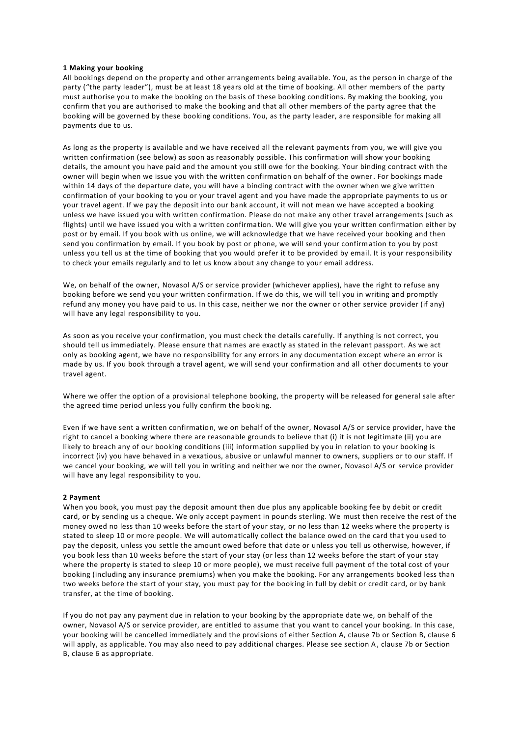#### **1 Making your booking**

All bookings depend on the property and other arrangements being available. You, as the person in charge of the party ("the party leader"), must be at least 18 years old at the time of booking. All other members of the party must authorise you to make the booking on the basis of these booking conditions. By making the booking, you confirm that you are authorised to make the booking and that all other members of the party agree that the booking will be governed by these booking conditions. You, as the party leader, are responsible for making all payments due to us.

As long as the property is available and we have received all the relevant payments from you, we will give you written confirmation (see below) as soon as reasonably possible. This confirmation will show your booking details, the amount you have paid and the amount you still owe for the booking. Your binding contract with the owner will begin when we issue you with the written confirmation on behalf of the owner. For bookings made within 14 days of the departure date, you will have a binding contract with the owner when we give written confirmation of your booking to you or your travel agent and you have made the appropriate payments to us or your travel agent. If we pay the deposit into our bank account, it will not mean we have accepted a booking unless we have issued you with written confirmation. Please do not make any other travel arrangements (such as flights) until we have issued you with a written confirmation. We will give you your written confirmation either by post or by email. If you book with us online, we will acknowledge that we have received your booking and then send you confirmation by email. If you book by post or phone, we will send your confirmation to you by post unless you tell us at the time of booking that you would prefer it to be provided by email. It is your responsibility to check your emails regularly and to let us know about any change to your email address.

We, on behalf of the owner, Novasol A/S or service provider (whichever applies), have the right to refuse any booking before we send you your written confirmation. If we do this, we will tell you in writing and promptly refund any money you have paid to us. In this case, neither we nor the owner or other service provider (if any) will have any legal responsibility to you.

As soon as you receive your confirmation, you must check the details carefully. If anything is not correct, you should tell us immediately. Please ensure that names are exactly as stated in the relevant passport. As we act only as booking agent, we have no responsibility for any errors in any documentation except where an error is made by us. If you book through a travel agent, we will send your confirmation and all other documents to your travel agent.

Where we offer the option of a provisional telephone booking, the property will be released for general sale after the agreed time period unless you fully confirm the booking.

Even if we have sent a written confirmation, we on behalf of the owner, Novasol A/S or service provider, have the right to cancel a booking where there are reasonable grounds to believe that (i) it is not legitimate (ii) you are likely to breach any of our booking conditions (iii) information supplied by you in relation to your booking is incorrect (iv) you have behaved in a vexatious, abusive or unlawful manner to owners, suppliers or to our staff. If we cancel your booking, we will tell you in writing and neither we nor the owner, Novasol A/S or service provider will have any legal responsibility to you.

#### **2 Payment**

When you book, you must pay the deposit amount then due plus any applicable booking fee by debit or credit card, or by sending us a cheque. We only accept payment in pounds sterling. We must then receive the rest of the money owed no less than 10 weeks before the start of your stay, or no less than 12 weeks where the property is stated to sleep 10 or more people. We will automatically collect the balance owed on the card that you used to pay the deposit, unless you settle the amount owed before that date or unless you tell us otherwise, however, if you book less than 10 weeks before the start of your stay (or less than 12 weeks before the start of your stay where the property is stated to sleep 10 or more people), we must receive full payment of the total cost of your booking (including any insurance premiums) when you make the booking. For any arrangements booked less than two weeks before the start of your stay, you must pay for the booking in full by debit or credit card, or by bank transfer, at the time of booking.

If you do not pay any payment due in relation to your booking by the appropriate date we, on behalf of the owner, Novasol A/S or service provider, are entitled to assume that you want to cancel your booking. In this case, your booking will be cancelled immediately and the provisions of either Section A, clause 7b or Section B, clause 6 will apply, as applicable. You may also need to pay additional charges. Please see section A, clause 7b or Section B, clause 6 as appropriate.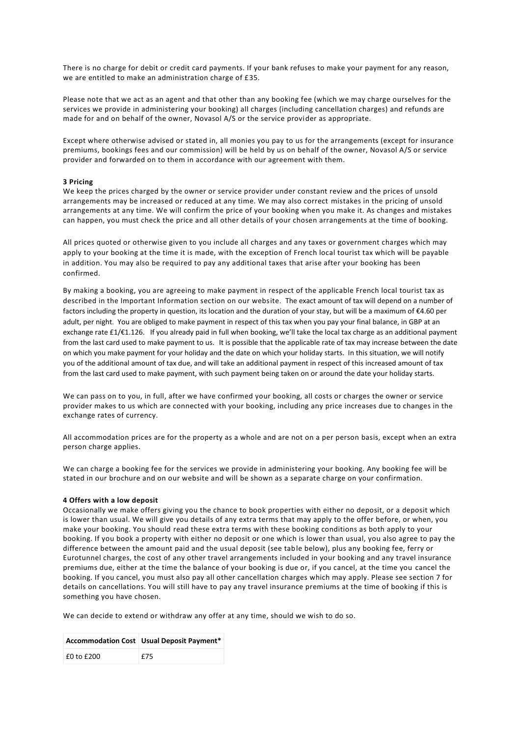There is no charge for debit or credit card payments. If your bank refuses to make your payment for any reason, we are entitled to make an administration charge of £35.

Please note that we act as an agent and that other than any booking fee (which we may charge ourselves for the services we provide in administering your booking) all charges (including cancellation charges) and refunds are made for and on behalf of the owner, Novasol A/S or the service provider as appropriate.

Except where otherwise advised or stated in, all monies you pay to us for the arrangements (except for insurance premiums, bookings fees and our commission) will be held by us on behalf of the owner, Novasol A/S or service provider and forwarded on to them in accordance with our agreement with them.

#### **3 Pricing**

We keep the prices charged by the owner or service provider under constant review and the prices of unsold arrangements may be increased or reduced at any time. We may also correct mistakes in the pricing of unsold arrangements at any time. We will confirm the price of your booking when you make it. As changes and mistakes can happen, you must check the price and all other details of your chosen arrangements at the time of booking.

All prices quoted or otherwise given to you include all charges and any taxes or government charges which may apply to your booking at the time it is made, with the exception of French local tourist tax which will be payable in addition. You may also be required to pay any additional taxes that arise after your booking has been confirmed.

By making a booking, you are agreeing to make payment in respect of the applicable French local tourist tax as described in the Important Information section on our website. The exact amount of tax will depend on a number of factors including the property in question, its location and the duration of your stay, but will be a maximum of €4.60 per adult, per night. You are obliged to make payment in respect of this tax when you pay your final balance, in GBP at an exchange rate £1/€1.126. If you already paid in full when booking, we'll take the local tax charge as an additional payment from the last card used to make payment to us. It is possible that the applicable rate of tax may increase between the date on which you make payment for your holiday and the date on which your holiday starts. In this situation, we will notify you of the additional amount of tax due, and will take an additional payment in respect of this increased amount of tax from the last card used to make payment, with such payment being taken on or around the date your holiday starts.

We can pass on to you, in full, after we have confirmed your booking, all costs or charges the owner or service provider makes to us which are connected with your booking, including any price increases due to changes in the exchange rates of currency.

All accommodation prices are for the property as a whole and are not on a per person basis, except when an extra person charge applies.

We can charge a booking fee for the services we provide in administering your booking. Any booking fee will be stated in our brochure and on our website and will be shown as a separate charge on your confirmation.

#### **4 Offers with a low deposit**

Occasionally we make offers giving you the chance to book properties with either no deposit, or a deposit which is lower than usual. We will give you details of any extra terms that may apply to the offer before, or when, you make your booking. You should read these extra terms with these booking conditions as both apply to your booking. If you book a property with either no deposit or one which is lower than usual, you also agree to pay the difference between the amount paid and the usual deposit (see table below), plus any booking fee, ferry or Eurotunnel charges, the cost of any other travel arrangements included in your booking and any travel insurance premiums due, either at the time the balance of your booking is due or, if you cancel, at the time you cancel the booking. If you cancel, you must also pay all other cancellation charges which may apply. Please see section 7 for details on cancellations. You will still have to pay any travel insurance premiums at the time of booking if this is something you have chosen.

We can decide to extend or withdraw any offer at any time, should we wish to do so.

|                | <b>Accommodation Cost   Usual Deposit Payment*</b> |
|----------------|----------------------------------------------------|
| $£0$ to $£200$ | £75                                                |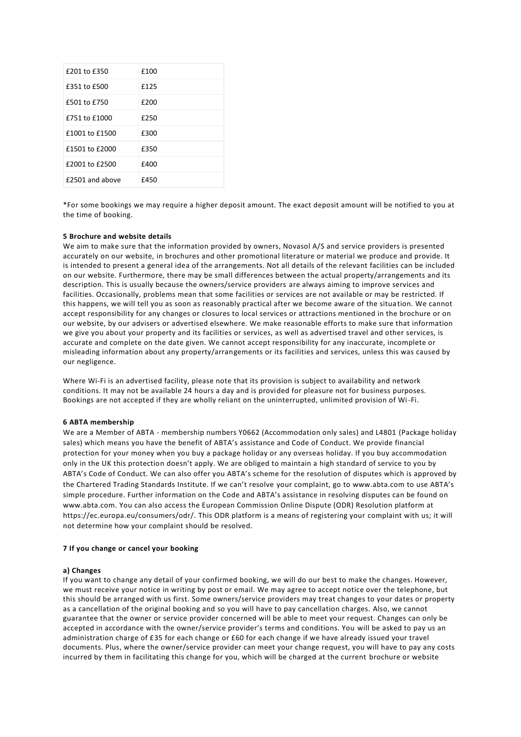| £201 to £350    | £100 |
|-----------------|------|
| £351 to £500    | £125 |
| £501 to £750    | £200 |
| £751 to £1000   | £250 |
| £1001 to £1500  | £300 |
| £1501 to £2000  | £350 |
| £2001 to £2500  | £400 |
| £2501 and above | £450 |

\*For some bookings we may require a higher deposit amount. The exact deposit amount will be notified to you at the time of booking.

#### **5 Brochure and website details**

We aim to make sure that the information provided by owners, Novasol A/S and service providers is presented accurately on our website, in brochures and other promotional literature or material we produce and provide. It is intended to present a general idea of the arrangements. Not all details of the relevant facilities can be included on our website. Furthermore, there may be small differences between the actual property/arrangements and its description. This is usually because the owners/service providers are always aiming to improve services and facilities. Occasionally, problems mean that some facilities or services are not available or may be restricted. If this happens, we will tell you as soon as reasonably practical after we become aware of the situa tion. We cannot accept responsibility for any changes or closures to local services or attractions mentioned in the brochure or on our website, by our advisers or advertised elsewhere. We make reasonable efforts to make sure that information we give you about your property and its facilities or services, as well as advertised travel and other services, is accurate and complete on the date given. We cannot accept responsibility for any inaccurate, incomplete or misleading information about any property/arrangements or its facilities and services, unless this was caused by our negligence.

Where Wi-Fi is an advertised facility, please note that its provision is subject to availability and network conditions. It may not be available 24 hours a day and is provided for pleasure not for business purposes. Bookings are not accepted if they are wholly reliant on the uninterrupted, unlimited provision of Wi-Fi.

#### **6 ABTA membership**

We are a Member of ABTA - membership numbers Y0662 (Accommodation only sales) and L4801 (Package holiday sales) which means you have the benefit of ABTA's assistance and Code of Conduct. We provide financial protection for your money when you buy a package holiday or any overseas holiday. If you buy accommodation only in the UK this protection doesn't apply. We are obliged to maintain a high standard of service to you by ABTA's Code of Conduct. We can also offer you ABTA's scheme for the resolution of disputes which is approved by the Chartered Trading Standards Institute. If we can't resolve your complaint, go to [www.abta.com](http://www.abta.com/) to use ABTA's simple procedure. Further information on the Code and ABTA's assistance in resolving disputes can be found on [www.abta.com.](http://www.abta.com/) You can also access the European Commission Online Dispute (ODR) Resolution platform at [https://ec.europa.eu/consumers/odr/.](https://ec.europa.eu/consumers/odr/) This ODR platform is a means of registering your complaint with us; it will not determine how your complaint should be resolved.

#### **7 If you change or cancel your booking**

# **a) Changes**

If you want to change any detail of your confirmed booking, we will do our best to make the changes. However, we must receive your notice in writing by post or email. We may agree to accept notice over the telephone, but this should be arranged with us first. Some owners/service providers may treat changes to your dates or property as a cancellation of the original booking and so you will have to pay cancellation charges. Also, we cannot guarantee that the owner or service provider concerned will be able to meet your request. Changes can only be accepted in accordance with the owner/service provider's terms and conditions. You will be asked to pay us an administration charge of £35 for each change or £60 for each change if we have already issued your travel documents. Plus, where the owner/service provider can meet your change request, you will have to pay any costs incurred by them in facilitating this change for you, which will be charged at the current brochure or website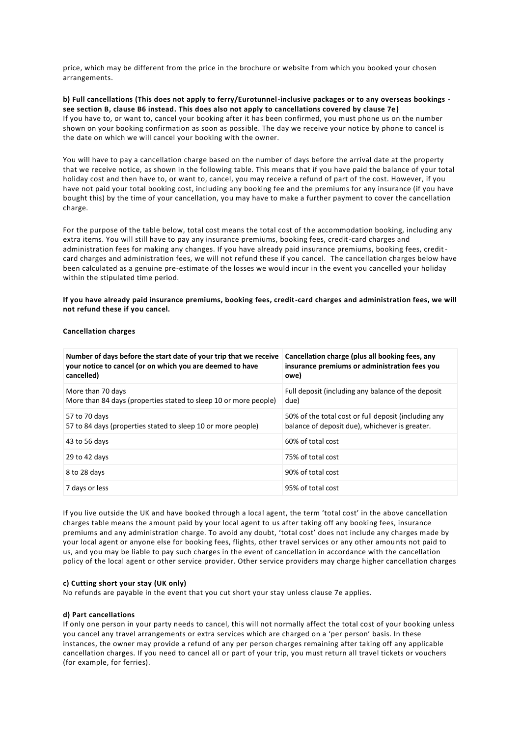price, which may be different from the price in the brochure or website from which you booked your chosen arrangements.

# **b) Full cancellations (This does not apply to ferry/Eurotunnel-inclusive packages or to any overseas bookings see section B, clause B6 instead. This does also not apply to cancellations covered by clause 7e)** If you have to, or want to, cancel your booking after it has been confirmed, you must phone us on the number shown on your booking confirmation as soon as possible. The day we receive your notice by phone to cancel is the date on which we will cancel your booking with the owner.

You will have to pay a cancellation charge based on the number of days before the arrival date at the property that we receive notice, as shown in the following table. This means that if you have paid the balance of your total holiday cost and then have to, or want to, cancel, you may receive a refund of part of the cost. However, if you have not paid your total booking cost, including any booking fee and the premiums for any insurance (if you have bought this) by the time of your cancellation, you may have to make a further payment to cover the cancellation charge.

For the purpose of the table below, total cost means the total cost of the accommodation booking, including any extra items. You will still have to pay any insurance premiums, booking fees, credit-card charges and administration fees for making any changes. If you have already paid insurance premiums, booking fees, creditcard charges and administration fees, we will not refund these if you cancel. The cancellation charges below have been calculated as a genuine pre-estimate of the losses we would incur in the event you cancelled your holiday within the stipulated time period.

**If you have already paid insurance premiums, booking fees, credit-card charges and administration fees, we will not refund these if you cancel.**

| <b>Cancellation charges</b> |  |
|-----------------------------|--|
|-----------------------------|--|

| Number of days before the start date of your trip that we receive<br>your notice to cancel (or on which you are deemed to have<br>cancelled) | Cancellation charge (plus all booking fees, any<br>insurance premiums or administration fees you<br>owe) |
|----------------------------------------------------------------------------------------------------------------------------------------------|----------------------------------------------------------------------------------------------------------|
| More than 70 days<br>More than 84 days (properties stated to sleep 10 or more people)                                                        | Full deposit (including any balance of the deposit<br>due)                                               |
| 57 to 70 days<br>57 to 84 days (properties stated to sleep 10 or more people)                                                                | 50% of the total cost or full deposit (including any<br>balance of deposit due), whichever is greater.   |
| 43 to 56 days                                                                                                                                | 60% of total cost                                                                                        |
| 29 to 42 days                                                                                                                                | 75% of total cost                                                                                        |
| 8 to 28 days                                                                                                                                 | 90% of total cost                                                                                        |
| 7 days or less                                                                                                                               | 95% of total cost                                                                                        |

If you live outside the UK and have booked through a local agent, the term 'total cost' in the above cancellation charges table means the amount paid by your local agent to us after taking off any booking fees, insurance premiums and any administration charge. To avoid any doubt, 'total cost' does not include any charges made by your local agent or anyone else for booking fees, flights, other travel services or any other amou nts not paid to us, and you may be liable to pay such charges in the event of cancellation in accordance with the cancellation policy of the local agent or other service provider. Other service providers may charge higher cancellation charges

#### **c) Cutting short your stay (UK only)**

No refunds are payable in the event that you cut short your stay unless clause 7e applies.

#### **d) Part cancellations**

If only one person in your party needs to cancel, this will not normally affect the total cost of your booking unless you cancel any travel arrangements or extra services which are charged on a 'per person' basis. In these instances, the owner may provide a refund of any per person charges remaining after taking off any applicable cancellation charges. If you need to cancel all or part of your trip, you must return all travel tickets or vouchers (for example, for ferries).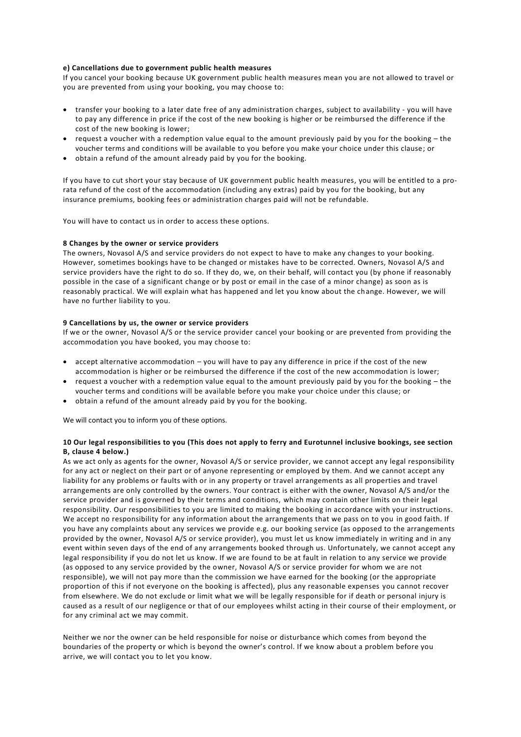# **e) Cancellations due to government public health measures**

If you cancel your booking because UK government public health measures mean you are not allowed to travel or you are prevented from using your booking, you may choose to:

- transfer your booking to a later date free of any administration charges, subject to availability you will have to pay any difference in price if the cost of the new booking is higher or be reimbursed the difference if the cost of the new booking is lower;
- $\bullet$  request a voucher with a redemption value equal to the amount previously paid by you for the booking the voucher terms and conditions will be available to you before you make your choice under this clause; or
- obtain a refund of the amount already paid by you for the booking.

If you have to cut short your stay because of UK government public health measures, you will be entitled to a prorata refund of the cost of the accommodation (including any extras) paid by you for the booking, but any insurance premiums, booking fees or administration charges paid will not be refundable.

You will have to contact us in order to access these options.

# **8 Changes by the owner or service providers**

The owners, Novasol A/S and service providers do not expect to have to make any changes to your booking. However, sometimes bookings have to be changed or mistakes have to be corrected. Owners, Novasol A/S and service providers have the right to do so. If they do, we, on their behalf, will contact you (by phone if reasonably possible in the case of a significant change or by post or email in the case of a minor change) as soon as is reasonably practical. We will explain what has happened and let you know about the change. However, we will have no further liability to you.

#### **9 Cancellations by us, the owner or service providers**

If we or the owner, Novasol A/S or the service provider cancel your booking or are prevented from providing the accommodation you have booked, you may choose to:

- $\bullet$  accept alternative accommodation you will have to pay any difference in price if the cost of the new accommodation is higher or be reimbursed the difference if the cost of the new accommodation is lower;
- request a voucher with a redemption value equal to the amount previously paid by you for the booking the voucher terms and conditions will be available before you make your choice under this clause; or
- obtain a refund of the amount already paid by you for the booking.

We will contact you to inform you of these options.

# **10 Our legal responsibilities to you (This does not apply to ferry and Eurotunnel inclusive bookings, see section B, clause 4 below.)**

As we act only as agents for the owner, Novasol A/S or service provider, we cannot accept any legal responsibility for any act or neglect on their part or of anyone representing or employed by them. And we cannot accept any liability for any problems or faults with or in any property or travel arrangements as all properties and travel arrangements are only controlled by the owners. Your contract is either with the owner, Novasol A/S and/or the service provider and is governed by their terms and conditions, which may contain other limits on their legal responsibility. Our responsibilities to you are limited to making the booking in accordance with your instructions. We accept no responsibility for any information about the arrangements that we pass on to you in good faith. If you have any complaints about any services we provide e.g. our booking service (as opposed to the arrangements provided by the owner, Novasol A/S or service provider), you must let us know immediately in writing and in any event within seven days of the end of any arrangements booked through us. Unfortunately, we cannot accept any legal responsibility if you do not let us know. If we are found to be at fault in relation to any service we provide (as opposed to any service provided by the owner, Novasol A/S or service provider for whom we are not responsible), we will not pay more than the commission we have earned for the booking (or the appropriate proportion of this if not everyone on the booking is affected), plus any reasonable expenses you cannot recover from elsewhere. We do not exclude or limit what we will be legally responsible for if death or personal injury is caused as a result of our negligence or that of our employees whilst acting in their course of their employment, or for any criminal act we may commit.

Neither we nor the owner can be held responsible for noise or disturbance which comes from beyond the boundaries of the property or which is beyond the owner's control. If we know about a problem before you arrive, we will contact you to let you know.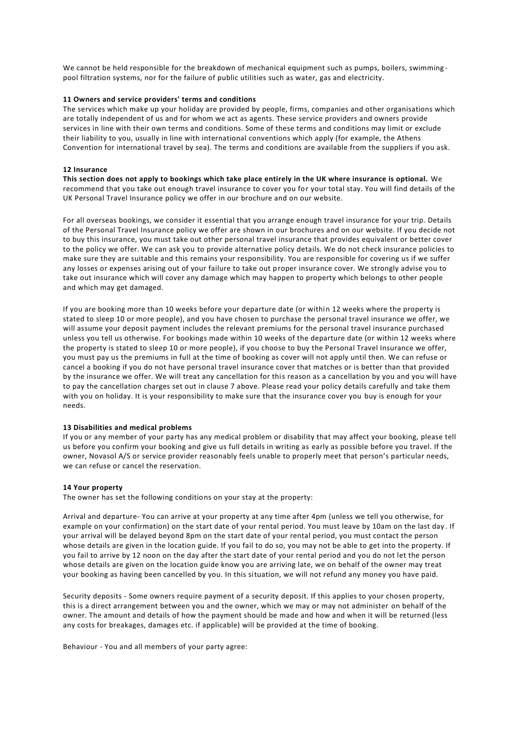We cannot be held responsible for the breakdown of mechanical equipment such as pumps, boilers, swimming pool filtration systems, nor for the failure of public utilities such as water, gas and electricity.

# **11 Owners and service providers' terms and conditions**

The services which make up your holiday are provided by people, firms, companies and other organisations which are totally independent of us and for whom we act as agents. These service providers and owners provide services in line with their own terms and conditions. Some of these terms and conditions may limit or exclude their liability to you, usually in line with international conventions which apply (for example, the Athens Convention for international travel by sea). The terms and conditions are available from the suppliers if you ask.

# **12 Insurance**

**This section does not apply to bookings which take place entirely in the UK where insurance is optional.** We recommend that you take out enough travel insurance to cover you for your total stay. You will find details of the UK Personal Travel Insurance policy we offer in our brochure and on our website.

For all overseas bookings, we consider it essential that you arrange enough travel insurance for your trip. Details of the Personal Travel Insurance policy we offer are shown in our brochures and on our website. If you decide not to buy this insurance, you must take out other personal travel insurance that provides equivalent or better cover to the policy we offer. We can ask you to provide alternative policy details. We do not check insurance policies to make sure they are suitable and this remains your responsibility. You are responsible for covering us if we suffer any losses or expenses arising out of your failure to take out proper insurance cover. We strongly advise you to take out insurance which will cover any damage which may happen to property which belongs to other people and which may get damaged.

If you are booking more than 10 weeks before your departure date (or within 12 weeks where the property is stated to sleep 10 or more people), and you have chosen to purchase the personal travel insurance we offer, we will assume your deposit payment includes the relevant premiums for the personal travel insurance purchased unless you tell us otherwise. For bookings made within 10 weeks of the departure date (or within 12 weeks where the property is stated to sleep 10 or more people), if you choose to buy the Personal Travel Insurance we offer, you must pay us the premiums in full at the time of booking as cover will not apply until then. We can refuse or cancel a booking if you do not have personal travel insurance cover that matches or is better than that provided by the insurance we offer. We will treat any cancellation for this reason as a cancellation by you and you will have to pay the cancellation charges set out in clause 7 above. Please read your policy details carefully and take them with you on holiday. It is your responsibility to make sure that the insurance cover you buy is enough for your needs.

# **13 Disabilities and medical problems**

If you or any member of your party has any medical problem or disability that may affect your booking, please tell us before you confirm your booking and give us full details in writing as early as possible before you travel. If the owner, Novasol A/S or service provider reasonably feels unable to properly meet that person's particular needs, we can refuse or cancel the reservation.

#### **14 Your property**

The owner has set the following conditions on your stay at the property:

Arrival and departure- You can arrive at your property at any time after 4pm (unless we tell you otherwise, for example on your confirmation) on the start date of your rental period. You must leave by 10am on the last day . If your arrival will be delayed beyond 8pm on the start date of your rental period, you must contact the person whose details are given in the location guide. If you fail to do so, you may not be able to get into the property. If you fail to arrive by 12 noon on the day after the start date of your rental period and you do not let the person whose details are given on the location guide know you are arriving late, we on behalf of the owner may treat your booking as having been cancelled by you. In this situation, we will not refund any money you have paid.

Security deposits - Some owners require payment of a security deposit. If this applies to your chosen property, this is a direct arrangement between you and the owner, which we may or may not administer on behalf of the owner. The amount and details of how the payment should be made and how and when it will be returned (less any costs for breakages, damages etc. if applicable) will be provided at the time of booking.

Behaviour - You and all members of your party agree: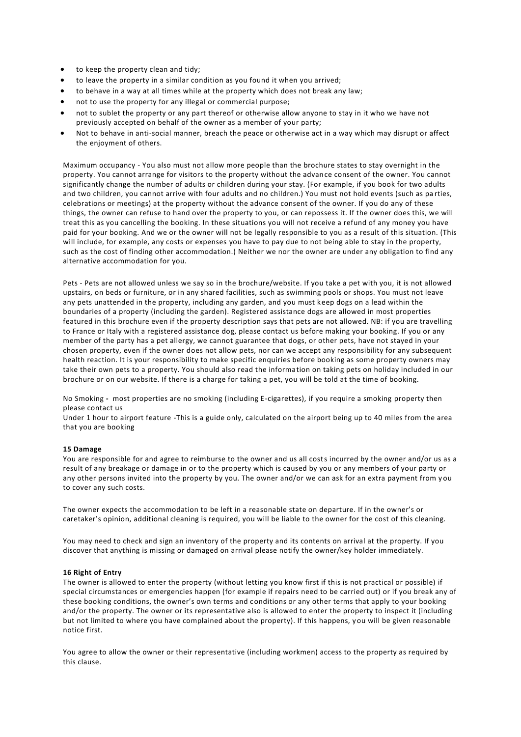- to keep the property clean and tidy;
- to leave the property in a similar condition as you found it when you arrived;
- to behave in a way at all times while at the property which does not break any law;
- not to use the property for any illegal or commercial purpose;
- not to sublet the property or any part thereof or otherwise allow anyone to stay in it who we have not previously accepted on behalf of the owner as a member of your party;
- Not to behave in anti-social manner, breach the peace or otherwise act in a way which may disrupt or affect the enjoyment of others.

Maximum occupancy - You also must not allow more people than the brochure states to stay overnight in the property. You cannot arrange for visitors to the property without the advance consent of the owner. You cannot significantly change the number of adults or children during your stay. (For example, if you book for two adults and two children, you cannot arrive with four adults and no children.) You must not hold events (such as pa rties, celebrations or meetings) at the property without the advance consent of the owner. If you do any of these things, the owner can refuse to hand over the property to you, or can repossess it. If the owner does this, we will treat this as you cancelling the booking. In these situations you will not receive a refund of any money you have paid for your booking. And we or the owner will not be legally responsible to you as a result of this situation. (This will include, for example, any costs or expenses you have to pay due to not being able to stay in the property, such as the cost of finding other accommodation.) Neither we nor the owner are under any obligation to find any alternative accommodation for you.

Pets - Pets are not allowed unless we say so in the brochure/website. If you take a pet with you, it is not allowed upstairs, on beds or furniture, or in any shared facilities, such as swimming pools or shops. You must not leave any pets unattended in the property, including any garden, and you must keep dogs on a lead within the boundaries of a property (including the garden). Registered assistance dogs are allowed in most properties featured in this brochure even if the property description says that pets are not allowed. NB: if you are travelling to France or Italy with a registered assistance dog, please contact us before making your booking. If you or any member of the party has a pet allergy, we cannot guarantee that dogs, or other pets, have not stayed in your chosen property, even if the owner does not allow pets, nor can we accept any responsibility for any subsequent health reaction. It is your responsibility to make specific enquiries before booking as some property owners may take their own pets to a property. You should also read the information on taking pets on holiday included in our brochure or on our website. If there is a charge for taking a pet, you will be told at the time of booking.

No Smoking **-** most properties are no smoking (including E-cigarettes), if you require a smoking property then please contact us

Under 1 hour to airport feature -This is a guide only, calculated on the airport being up to 40 miles from the area that you are booking

#### **15 Damage**

You are responsible for and agree to reimburse to the owner and us all costs incurred by the owner and/or us as a result of any breakage or damage in or to the property which is caused by you or any members of your party or any other persons invited into the property by you. The owner and/or we can ask for an extra payment from y ou to cover any such costs.

The owner expects the accommodation to be left in a reasonable state on departure. If in the owner's or caretaker's opinion, additional cleaning is required, you will be liable to the owner for the cost of this cleaning.

You may need to check and sign an inventory of the property and its contents on arrival at the property. If you discover that anything is missing or damaged on arrival please notify the owner/key holder immediately.

# **16 Right of Entry**

The owner is allowed to enter the property (without letting you know first if this is not practical or possible) if special circumstances or emergencies happen (for example if repairs need to be carried out) or if you break any of these booking conditions, the owner's own terms and conditions or any other terms that apply to your booking and/or the property. The owner or its representative also is allowed to enter the property to inspect it (including but not limited to where you have complained about the property). If this happens, you will be given reasonable notice first.

You agree to allow the owner or their representative (including workmen) access to the property as required by this clause.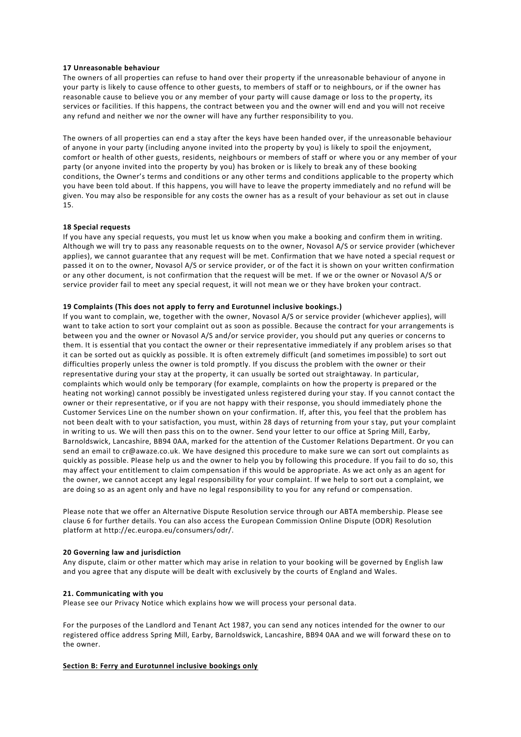#### **17 Unreasonable behaviour**

The owners of all properties can refuse to hand over their property if the unreasonable behaviour of anyone in your party is likely to cause offence to other guests, to members of staff or to neighbours, or if the owner has reasonable cause to believe you or any member of your party will cause damage or loss to the property, its services or facilities. If this happens, the contract between you and the owner will end and you will not receive any refund and neither we nor the owner will have any further responsibility to you.

The owners of all properties can end a stay after the keys have been handed over, if the unreasonable behaviour of anyone in your party (including anyone invited into the property by you) is likely to spoil the enjoyment, comfort or health of other guests, residents, neighbours or members of staff or where you or any member of your party (or anyone invited into the property by you) has broken or is likely to break any of these booking conditions, the Owner's terms and conditions or any other terms and conditions applicable to the property which you have been told about. If this happens, you will have to leave the property immediately and no refund will be given. You may also be responsible for any costs the owner has as a result of your behaviour as set out in clause 15.

# **18 Special requests**

If you have any special requests, you must let us know when you make a booking and confirm them in writing. Although we will try to pass any reasonable requests on to the owner, Novasol A/S or service provider (whichever applies), we cannot guarantee that any request will be met. Confirmation that we have noted a special request or passed it on to the owner, Novasol A/S or service provider, or of the fact it is shown on your written confirmation or any other document, is not confirmation that the request will be met. If we or the owner or Novasol A/S or service provider fail to meet any special request, it will not mean we or they have broken your contract.

#### **19 Complaints (This does not apply to ferry and Eurotunnel inclusive bookings.)**

If you want to complain, we, together with the owner, Novasol A/S or service provider (whichever applies), will want to take action to sort your complaint out as soon as possible. Because the contract for your arrangements is between you and the owner or Novasol A/S and/or service provider, you should put any queries or concerns to them. It is essential that you contact the owner or their representative immediately if any problem arises so that it can be sorted out as quickly as possible. It is often extremely difficult (and sometimes impossible) to sort out difficulties properly unless the owner is told promptly. If you discuss the problem with the owner or their representative during your stay at the property, it can usually be sorted out straightaway. In particular, complaints which would only be temporary (for example, complaints on how the property is prepared or the heating not working) cannot possibly be investigated unless registered during your stay. If you cannot contact the owner or their representative, or if you are not happy with their response, you should immediately phone the Customer Services Line on the number shown on your confirmation. If, after this, you feel that the problem has not been dealt with to your satisfaction, you must, within 28 days of returning from your stay, put your complaint in writing to us. We will then pass this on to the owner. Send your letter to our office at Spring Mill, Earby, Barnoldswick, Lancashire, BB94 0AA, marked for the attention of the Customer Relations Department. Or you can send an email to cr@awaze.co.uk. We have designed this procedure to make sure we can sort out complaints as quickly as possible. Please help us and the owner to help you by following this procedure. If you fail to do so, this may affect your entitlement to claim compensation if this would be appropriate. As we act only as an agent for the owner, we cannot accept any legal responsibility for your complaint. If we help to sort out a complaint, we are doing so as an agent only and have no legal responsibility to you for any refund or compensation.

Please note that we offer an Alternative Dispute Resolution service through our ABTA membership. Please see clause 6 for further details. You can also access the European Commission Online Dispute (ODR) Resolution platform at http://ec.europa.eu/consumers/odr/.

# **20 Governing law and jurisdiction**

Any dispute, claim or other matter which may arise in relation to your booking will be governed by English law and you agree that any dispute will be dealt with exclusively by the courts of England and Wales.

#### **21. Communicating with you**

Please see our Privacy Notice which explains how we will process your personal data.

For the purposes of the Landlord and Tenant Act 1987, you can send any notices intended for the owner to our registered office address Spring Mill, Earby, Barnoldswick, Lancashire, BB94 0AA and we will forward these on to the owner.

# **Section B: Ferry and Eurotunnel inclusive bookings only**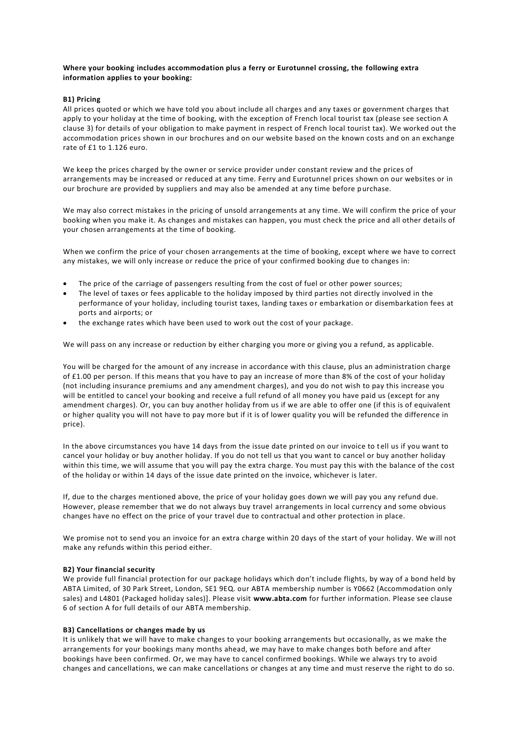# **Where your booking includes accommodation plus a ferry or Eurotunnel crossing, the following extra information applies to your booking:**

# **B1) Pricing**

All prices quoted or which we have told you about include all charges and any taxes or government charges that apply to your holiday at the time of booking, with the exception of French local tourist tax (please see section A clause 3) for details of your obligation to make payment in respect of French local tourist tax). We worked out the accommodation prices shown in our brochures and on our website based on the known costs and on an exchange rate of £1 to 1.126 euro.

We keep the prices charged by the owner or service provider under constant review and the prices of arrangements may be increased or reduced at any time. Ferry and Eurotunnel prices shown on our websites or in our brochure are provided by suppliers and may also be amended at any time before purchase.

We may also correct mistakes in the pricing of unsold arrangements at any time. We will confirm the price of your booking when you make it. As changes and mistakes can happen, you must check the price and all other details of your chosen arrangements at the time of booking.

When we confirm the price of your chosen arrangements at the time of booking, except where we have to correct any mistakes, we will only increase or reduce the price of your confirmed booking due to changes in:

- The price of the carriage of passengers resulting from the cost of fuel or other power sources;
- The level of taxes or fees applicable to the holiday imposed by third parties not directly involved in the performance of your holiday, including tourist taxes, landing taxes or embarkation or disembarkation fees at ports and airports; or
- the exchange rates which have been used to work out the cost of your package.

We will pass on any increase or reduction by either charging you more or giving you a refund, as applicable.

You will be charged for the amount of any increase in accordance with this clause, plus an administration charge of £1.00 per person. If this means that you have to pay an increase of more than 8% of the cost of your holiday (not including insurance premiums and any amendment charges), and you do not wish to pay this increase you will be entitled to cancel your booking and receive a full refund of all money you have paid us (except for any amendment charges). Or, you can buy another holiday from us if we are able to offer one (if this is of equivalent or higher quality you will not have to pay more but if it is of lower quality you will be refunded the difference in price).

In the above circumstances you have 14 days from the issue date printed on our invoice to t ell us if you want to cancel your holiday or buy another holiday. If you do not tell us that you want to cancel or buy another holiday within this time, we will assume that you will pay the extra charge. You must pay this with the balance of the cost of the holiday or within 14 days of the issue date printed on the invoice, whichever is later.

If, due to the charges mentioned above, the price of your holiday goes down we will pay you any refund due. However, please remember that we do not always buy travel arrangements in local currency and some obvious changes have no effect on the price of your travel due to contractual and other protection in place.

We promise not to send you an invoice for an extra charge within 20 days of the start of your holiday. We will not make any refunds within this period either.

# **B2) Your financial security**

We provide full financial protection for our package holidays which don't include flights, by way of a bond held by ABTA Limited, of 30 Park Street, London, SE1 9EQ. our ABTA membership number is Y0662 (Accommodation only sales) and L4801 (Packaged holiday sales)]. Please visit **[www.abta.com](http://www.abta.com/)** for further information. Please see clause 6 of section A for full details of our ABTA membership.

# **B3) Cancellations or changes made by us**

It is unlikely that we will have to make changes to your booking arrangements but occasionally, as we make the arrangements for your bookings many months ahead, we may have to make changes both before and after bookings have been confirmed. Or, we may have to cancel confirmed bookings. While we always try to avoid changes and cancellations, we can make cancellations or changes at any time and must reserve the right to do so.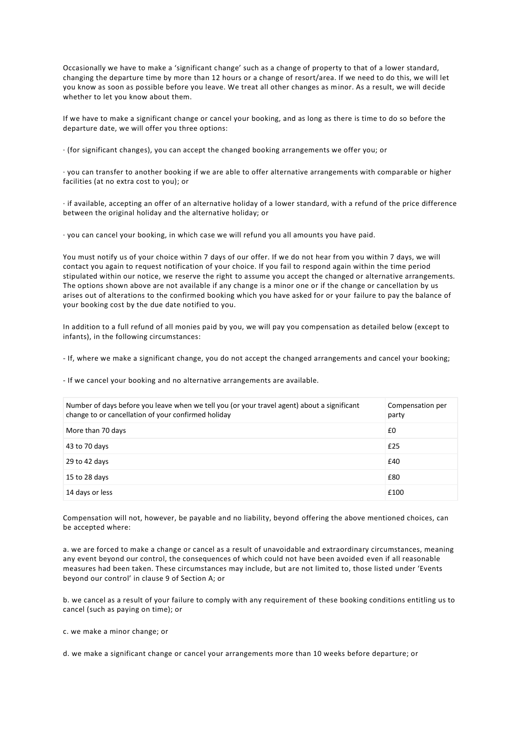Occasionally we have to make a 'significant change' such as a change of property to that of a lower standard, changing the departure time by more than 12 hours or a change of resort/area. If we need to do this, we will let you know as soon as possible before you leave. We treat all other changes as minor. As a result, we will decide whether to let you know about them.

If we have to make a significant change or cancel your booking, and as long as there is time to do so before the departure date, we will offer you three options:

· (for significant changes), you can accept the changed booking arrangements we offer you; or

· you can transfer to another booking if we are able to offer alternative arrangements with comparable or higher facilities (at no extra cost to you); or

· if available, accepting an offer of an alternative holiday of a lower standard, with a refund of the price difference between the original holiday and the alternative holiday; or

· you can cancel your booking, in which case we will refund you all amounts you have paid.

You must notify us of your choice within 7 days of our offer. If we do not hear from you within 7 days, we will contact you again to request notification of your choice. If you fail to respond again within the time period stipulated within our notice, we reserve the right to assume you accept the changed or alternative arrangements. The options shown above are not available if any change is a minor one or if the change or cancellation by us arises out of alterations to the confirmed booking which you have asked for or your failure to pay the balance of your booking cost by the due date notified to you.

In addition to a full refund of all monies paid by you, we will pay you compensation as detailed below (except to infants), in the following circumstances:

- If, where we make a significant change, you do not accept the changed arrangements and cancel your booking;

- If we cancel your booking and no alternative arrangements are available.

| Number of days before you leave when we tell you (or your travel agent) about a significant<br>change to or cancellation of your confirmed holiday | Compensation per<br>party |
|----------------------------------------------------------------------------------------------------------------------------------------------------|---------------------------|
| More than 70 days                                                                                                                                  | £0                        |
| 43 to 70 days                                                                                                                                      | £25                       |
| 29 to 42 days                                                                                                                                      | £40                       |
| 15 to 28 days                                                                                                                                      | £80                       |
| 14 days or less                                                                                                                                    | £100                      |

Compensation will not, however, be payable and no liability, beyond offering the above mentioned choices, can be accepted where:

a. we are forced to make a change or cancel as a result of unavoidable and extraordinary circumstances, meaning any event beyond our control, the consequences of which could not have been avoided even if all reasonable measures had been taken. These circumstances may include, but are not limited to, those listed under 'Events beyond our control' in clause 9 of Section A; or

b. we cancel as a result of your failure to comply with any requirement of these booking conditions entitling us to cancel (such as paying on time); or

c. we make a minor change; or

d. we make a significant change or cancel your arrangements more than 10 weeks before departure; or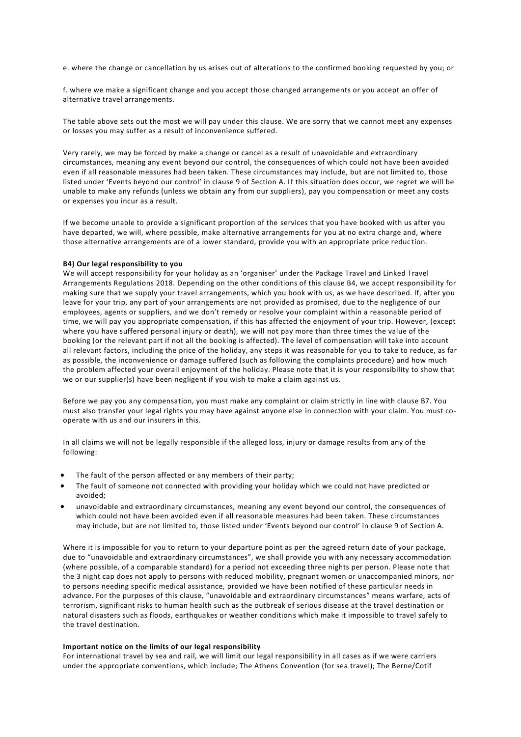e. where the change or cancellation by us arises out of alterations to the confirmed booking requested by you; or

f. where we make a significant change and you accept those changed arrangements or you accept an offer of alternative travel arrangements.

The table above sets out the most we will pay under this clause. We are sorry that we cannot meet any expenses or losses you may suffer as a result of inconvenience suffered.

Very rarely, we may be forced by make a change or cancel as a result of unavoidable and extraordinary circumstances, meaning any event beyond our control, the consequences of which could not have been avoided even if all reasonable measures had been taken. These circumstances may include, but are not limited to, those listed under 'Events beyond our control' in clause 9 of Section A. If this situation does occur, we regret we will be unable to make any refunds (unless we obtain any from our suppliers), pay you compensation or meet any costs or expenses you incur as a result.

If we become unable to provide a significant proportion of the services that you have booked with us after you have departed, we will, where possible, make alternative arrangements for you at no extra charge and, where those alternative arrangements are of a lower standard, provide you with an appropriate price reduc tion.

#### **B4) Our legal responsibility to you**

We will accept responsibility for your holiday as an 'organiser' under the Package Travel and Linked Travel Arrangements Regulations 2018. Depending on the other conditions of this clause B4, we accept responsibil ity for making sure that we supply your travel arrangements, which you book with us, as we have described. If, after you leave for your trip, any part of your arrangements are not provided as promised, due to the negligence of our employees, agents or suppliers, and we don't remedy or resolve your complaint within a reasonable period of time, we will pay you appropriate compensation, if this has affected the enjoyment of your trip. However, (except where you have suffered personal injury or death), we will not pay more than three times the value of the booking (or the relevant part if not all the booking is affected). The level of compensation will take into account all relevant factors, including the price of the holiday, any steps it was reasonable for you to take to reduce, as far as possible, the inconvenience or damage suffered (such as following the complaints procedure) and how much the problem affected your overall enjoyment of the holiday. Please note that it is your responsibility to show that we or our supplier(s) have been negligent if you wish to make a claim against us.

Before we pay you any compensation, you must make any complaint or claim strictly in line with clause B7. You must also transfer your legal rights you may have against anyone else in connection with your claim. You must cooperate with us and our insurers in this.

In all claims we will not be legally responsible if the alleged loss, injury or damage results from any of the following:

- The fault of the person affected or any members of their party;
- The fault of someone not connected with providing your holiday which we could not have predicted or avoided;
- unavoidable and extraordinary circumstances, meaning any event beyond our control, the consequences of which could not have been avoided even if all reasonable measures had been taken. These circumstances may include, but are not limited to, those listed under 'Events beyond our control' in clause 9 of Section A.

Where it is impossible for you to return to your departure point as per the agreed return date of your package, due to "unavoidable and extraordinary circumstances", we shall provide you with any necessary accommodation (where possible, of a comparable standard) for a period not exceeding three nights per person. Please note t hat the 3 night cap does not apply to persons with reduced mobility, pregnant women or unaccompanied minors, nor to persons needing specific medical assistance, provided we have been notified of these particular needs in advance. For the purposes of this clause, "unavoidable and extraordinary circumstances" means warfare, acts of terrorism, significant risks to human health such as the outbreak of serious disease at the travel destination or natural disasters such as floods, earthquakes or weather conditions which make it impossible to travel safely to the travel destination.

#### **Important notice on the limits of our legal responsibility**

For international travel by sea and rail, we will limit our legal responsibility in all cases as if we were carriers under the appropriate conventions, which include; The Athens Convention (for sea travel); The Berne/Cotif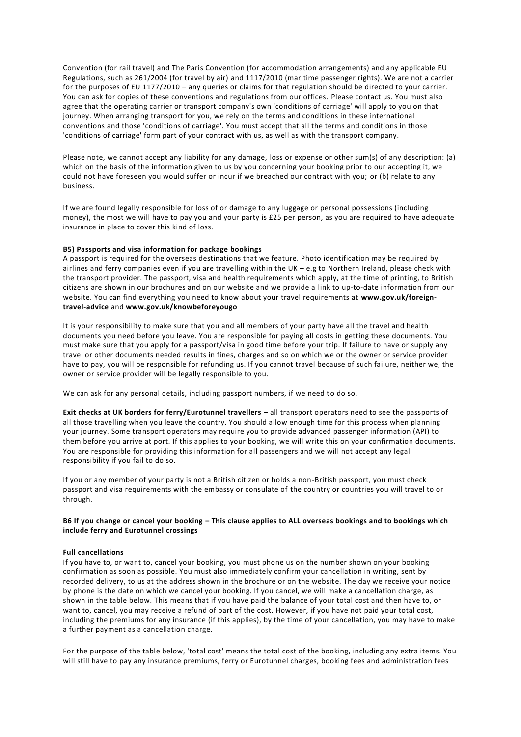Convention (for rail travel) and The Paris Convention (for accommodation arrangements) and any applicable EU Regulations, such as 261/2004 (for travel by air) and 1117/2010 (maritime passenger rights). We are not a carrier for the purposes of EU 1177/2010 – any queries or claims for that regulation should be directed to your carrier. You can ask for copies of these conventions and regulations from our offices. Please contact us. You must also agree that the operating carrier or transport company's own 'conditions of carriage' will apply to you on that journey. When arranging transport for you, we rely on the terms and conditions in these international conventions and those 'conditions of carriage'. You must accept that all the terms and conditions in those 'conditions of carriage' form part of your contract with us, as well as with the transport company.

Please note, we cannot accept any liability for any damage, loss or expense or other sum(s) of any description: (a) which on the basis of the information given to us by you concerning your booking prior to our accepting it, we could not have foreseen you would suffer or incur if we breached our contract with you; or (b) relate to any business.

If we are found legally responsible for loss of or damage to any luggage or personal possessions (including money), the most we will have to pay you and your party is £25 per person, as you are required to have adequate insurance in place to cover this kind of loss.

# **B5) Passports and visa information for package bookings**

A passport is required for the overseas destinations that we feature. Photo identification may be required by airlines and ferry companies even if you are travelling within the UK – e.g to Northern Ireland, please check with the transport provider. The passport, visa and health requirements which apply, at the time of printing, to British citizens are shown in our brochures and on our website and we provide a link to up-to-date information from our website. You can find everything you need to know about your travel requirements at **[www.gov.uk/foreign](https://www.gov.uk/foreign-travel-advice)[travel-advice](https://www.gov.uk/foreign-travel-advice)** and **[www.gov.uk/knowbeforeyougo](https://www.gov.uk/knowbeforeyougo)**

It is your responsibility to make sure that you and all members of your party have all the travel and health documents you need before you leave. You are responsible for paying all costs in getting these documents. You must make sure that you apply for a passport/visa in good time before your trip. If failure to have or supply any travel or other documents needed results in fines, charges and so on which we or the owner or service provider have to pay, you will be responsible for refunding us. If you cannot travel because of such failure, neither we, the owner or service provider will be legally responsible to you.

We can ask for any personal details, including passport numbers, if we need to do so.

**Exit checks at UK borders for ferry/Eurotunnel travellers** – all transport operators need to see the passports of all those travelling when you leave the country. You should allow enough time for this process when planning your journey. Some transport operators may require you to provide advanced passenger information (API) to them before you arrive at port. If this applies to your booking, we will write this on your confirmation documents. You are responsible for providing this information for all passengers and we will not accept any legal responsibility if you fail to do so.

If you or any member of your party is not a British citizen or holds a non-British passport, you must check passport and visa requirements with the embassy or consulate of the country or countries you will travel to or through.

# **B6 If you change or cancel your booking – This clause applies to ALL overseas bookings and to bookings which include ferry and Eurotunnel crossings**

#### **Full cancellations**

If you have to, or want to, cancel your booking, you must phone us on the number shown on your booking confirmation as soon as possible. You must also immediately confirm your cancellation in writing, sent by recorded delivery, to us at the address shown in the brochure or on the website. The day we receive your notice by phone is the date on which we cancel your booking. If you cancel, we will make a cancellation charge, as shown in the table below. This means that if you have paid the balance of your total cost and then have to, or want to, cancel, you may receive a refund of part of the cost. However, if you have not paid your total cost, including the premiums for any insurance (if this applies), by the time of your cancellation, you may have to make a further payment as a cancellation charge.

For the purpose of the table below, 'total cost' means the total cost of the booking, including any extra items. You will still have to pay any insurance premiums, ferry or Eurotunnel charges, booking fees and administration fees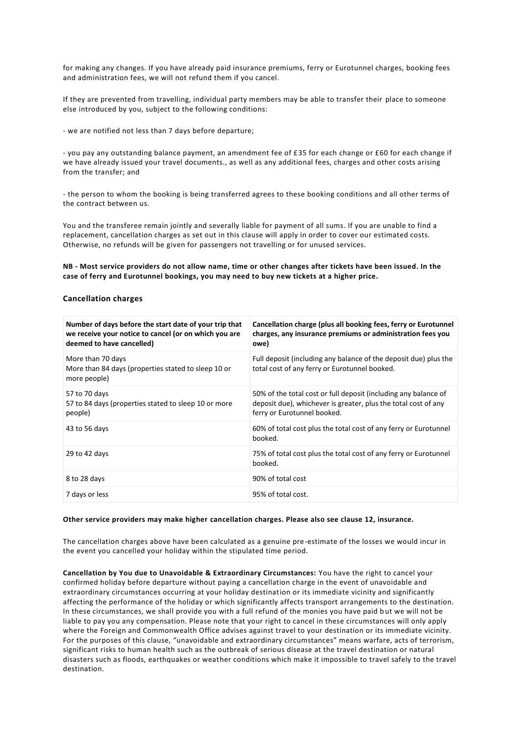for making any changes. If you have already paid insurance premiums, ferry or Eurotunnel charges, booking fees and administration fees, we will not refund them if you cancel.

If they are prevented from travelling, individual party members may be able to transfer their place to someone else introduced by you, subject to the following conditions:

- we are notified not less than 7 days before departure;

- you pay any outstanding balance payment, an amendment fee of £35 for each change or £60 for each change if we have already issued your travel documents., as well as any additional fees, charges and other costs arising from the transfer; and

- the person to whom the booking is being transferred agrees to these booking conditions and all other terms of the contract between us.

You and the transferee remain jointly and severally liable for payment of all sums. If you are unable to find a replacement, cancellation charges as set out in this clause will apply in order to cover our estimated costs. Otherwise, no refunds will be given for passengers not travelling or for unused services.

**NB - Most service providers do not allow name, time or other changes after tickets have been issued. In the case of ferry and Eurotunnel bookings, you may need to buy new tickets at a higher price.**

# **Cancellation charges**

| Number of days before the start date of your trip that<br>we receive your notice to cancel (or on which you are<br>deemed to have cancelled) | Cancellation charge (plus all booking fees, ferry or Eurotunnel<br>charges, any insurance premiums or administration fees you<br>owe)                            |
|----------------------------------------------------------------------------------------------------------------------------------------------|------------------------------------------------------------------------------------------------------------------------------------------------------------------|
| More than 70 days<br>More than 84 days (properties stated to sleep 10 or<br>more people)                                                     | Full deposit (including any balance of the deposit due) plus the<br>total cost of any ferry or Eurotunnel booked.                                                |
| 57 to 70 days<br>57 to 84 days (properties stated to sleep 10 or more<br>people)                                                             | 50% of the total cost or full deposit (including any balance of<br>deposit due), whichever is greater, plus the total cost of any<br>ferry or Eurotunnel booked. |
| 43 to 56 days                                                                                                                                | 60% of total cost plus the total cost of any ferry or Eurotunnel<br>booked.                                                                                      |
| 29 to 42 days                                                                                                                                | 75% of total cost plus the total cost of any ferry or Eurotunnel<br>booked.                                                                                      |
| 8 to 28 days                                                                                                                                 | 90% of total cost                                                                                                                                                |
| 7 days or less                                                                                                                               | 95% of total cost.                                                                                                                                               |

#### **Other service providers may make higher cancellation charges. Please also see clause 12, insurance.**

The cancellation charges above have been calculated as a genuine pre-estimate of the losses we would incur in the event you cancelled your holiday within the stipulated time period.

**Cancellation by You due to Unavoidable & Extraordinary Circumstances:** You have the right to cancel your confirmed holiday before departure without paying a cancellation charge in the event of unavoidable and extraordinary circumstances occurring at your holiday destination or its immediate vicinity and significantly affecting the performance of the holiday or which significantly affects transport arrangements to the destination. In these circumstances, we shall provide you with a full refund of the monies you have paid b ut we will not be liable to pay you any compensation. Please note that your right to cancel in these circumstances will only apply where the Foreign and Commonwealth Office advises against travel to your destination or its immediate vicinity. For the purposes of this clause, "unavoidable and extraordinary circumstances" means warfare, acts of terrorism, significant risks to human health such as the outbreak of serious disease at the travel destination or natural disasters such as floods, earthquakes or weather conditions which make it impossible to travel safely to the travel destination.